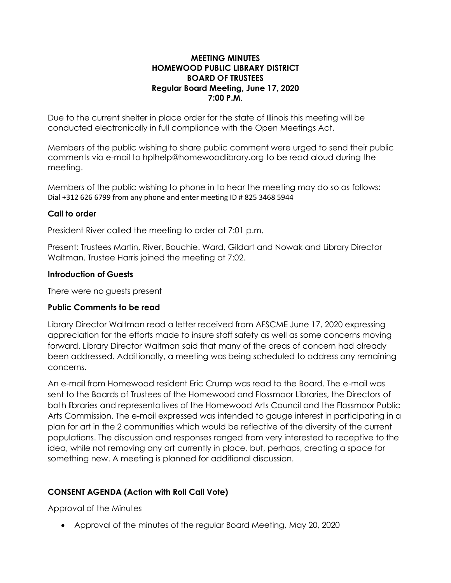### **MEETING MINUTES HOMEWOOD PUBLIC LIBRARY DISTRICT BOARD OF TRUSTEES Regular Board Meeting, June 17, 2020 7:00 P.M**.

Due to the current shelter in place order for the state of Illinois this meeting will be conducted electronically in full compliance with the Open Meetings Act.

Members of the public wishing to share public comment were urged to send their public comments via e-mail to [hplhelp@homewoodlibrary.org](mailto:hplhelp@homewoodlibrary.org) to be read aloud during the meeting.

Members of the public wishing to phone in to hear the meeting may do so as follows: Dial +312 626 6799 from any phone and enter meeting ID # 825 3468 5944

# **Call to order**

President River called the meeting to order at 7:01 p.m.

Present: Trustees Martin, River, Bouchie. Ward, Gildart and Nowak and Library Director Waltman. Trustee Harris joined the meeting at 7:02.

### **Introduction of Guests**

There were no guests present

# **Public Comments to be read**

Library Director Waltman read a letter received from AFSCME June 17, 2020 expressing appreciation for the efforts made to insure staff safety as well as some concerns moving forward. Library Director Waltman said that many of the areas of concern had already been addressed. Additionally, a meeting was being scheduled to address any remaining concerns.

An e-mail from Homewood resident Eric Crump was read to the Board. The e-mail was sent to the Boards of Trustees of the Homewood and Flossmoor Libraries, the Directors of both libraries and representatives of the Homewood Arts Council and the Flossmoor Public Arts Commission. The e-mail expressed was intended to gauge interest in participating in a plan for art in the 2 communities which would be reflective of the diversity of the current populations. The discussion and responses ranged from very interested to receptive to the idea, while not removing any art currently in place, but, perhaps, creating a space for something new. A meeting is planned for additional discussion.

# **CONSENT AGENDA (Action with Roll Call Vote)**

Approval of the Minutes

• Approval of the minutes of the regular Board Meeting, May 20, 2020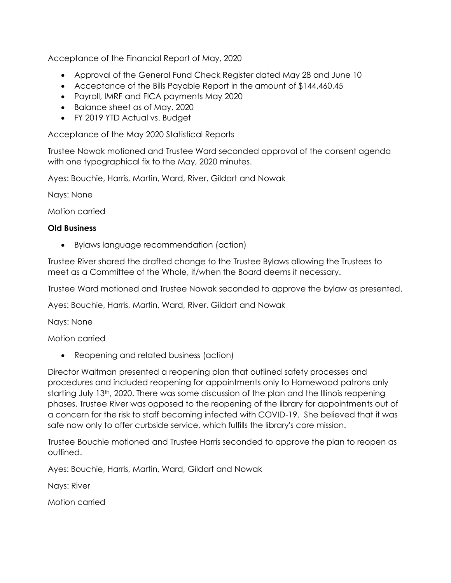Acceptance of the Financial Report of May, 2020

- Approval of the General Fund Check Register dated May 28 and June 10
- Acceptance of the Bills Payable Report in the amount of \$144,460.45
- Payroll, IMRF and FICA payments May 2020
- Balance sheet as of May, 2020
- FY 2019 YTD Actual vs. Budget

Acceptance of the May 2020 Statistical Reports

Trustee Nowak motioned and Trustee Ward seconded approval of the consent agenda with one typographical fix to the May, 2020 minutes.

Ayes: Bouchie, Harris, Martin, Ward, River, Gildart and Nowak

Nays: None

Motion carried

### **Old Business**

• Bylaws language recommendation (action)

Trustee River shared the drafted change to the Trustee Bylaws allowing the Trustees to meet as a Committee of the Whole, if/when the Board deems it necessary.

Trustee Ward motioned and Trustee Nowak seconded to approve the bylaw as presented.

Ayes: Bouchie, Harris, Martin, Ward, River, Gildart and Nowak

Nays: None

Motion carried

• Reopening and related business (action)

Director Waltman presented a reopening plan that outlined safety processes and procedures and included reopening for appointments only to Homewood patrons only starting July 13<sup>th</sup>, 2020. There was some discussion of the plan and the Illinois reopening phases. Trustee River was opposed to the reopening of the library for appointments out of a concern for the risk to staff becoming infected with COVID-19. She believed that it was safe now only to offer curbside service, which fulfills the library's core mission.

Trustee Bouchie motioned and Trustee Harris seconded to approve the plan to reopen as outlined.

Ayes: Bouchie, Harris, Martin, Ward, Gildart and Nowak

Nays: River

Motion carried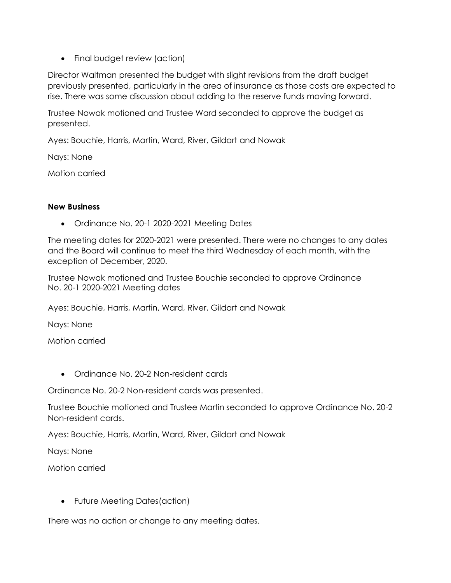• Final budget review (action)

Director Waltman presented the budget with slight revisions from the draft budget previously presented, particularly in the area of insurance as those costs are expected to rise. There was some discussion about adding to the reserve funds moving forward.

Trustee Nowak motioned and Trustee Ward seconded to approve the budget as presented.

Ayes: Bouchie, Harris, Martin, Ward, River, Gildart and Nowak

Nays: None

Motion carried

### **New Business**

• Ordinance No. 20-1 2020-2021 Meeting Dates

The meeting dates for 2020-2021 were presented. There were no changes to any dates and the Board will continue to meet the third Wednesday of each month, with the exception of December, 2020.

Trustee Nowak motioned and Trustee Bouchie seconded to approve Ordinance No. 20-1 2020-2021 Meeting dates

Ayes: Bouchie, Harris, Martin, Ward, River, Gildart and Nowak

Nays: None

Motion carried

• Ordinance No. 20-2 Non-resident cards

Ordinance No. 20-2 Non-resident cards was presented.

Trustee Bouchie motioned and Trustee Martin seconded to approve Ordinance No. 20-2 Non-resident cards.

Ayes: Bouchie, Harris, Martin, Ward, River, Gildart and Nowak

Nays: None

Motion carried

• Future Meeting Dates(action)

There was no action or change to any meeting dates.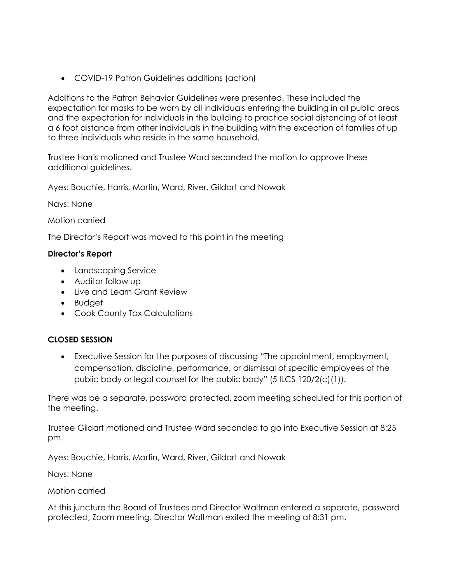• COVID-19 Patron Guidelines additions (action)

Additions to the Patron Behavior Guidelines were presented. These included the expectation for masks to be worn by all individuals entering the building in all public areas and the expectation for individuals in the building to practice social distancing of at least a 6 foot distance from other individuals in the building with the exception of families of up to three individuals who reside in the same household.

Trustee Harris motioned and Trustee Ward seconded the motion to approve these additional guidelines.

Ayes: Bouchie, Harris, Martin, Ward, River, Gildart and Nowak

Nays: None

Motion carried

The Director's Report was moved to this point in the meeting

#### **Director's Report**

- Landscaping Service
- Auditor follow up
- Live and Learn Grant Review
- Budget
- Cook County Tax Calculations

# **CLOSED SESSION**

• Executive Session for the purposes of discussing "The appointment, employment, compensation, discipline, performance, or dismissal of specific employees of the public body or legal counsel for the public body" (5 ILCS 120/2(c)(1)).

There was be a separate, password protected, zoom meeting scheduled for this portion of the meeting.

Trustee Gildart motioned and Trustee Ward seconded to go into Executive Session at 8:25 pm.

Ayes: Bouchie, Harris, Martin, Ward, River, Gildart and Nowak

Nays: None

Motion carried

At this juncture the Board of Trustees and Director Waltman entered a separate, password protected, Zoom meeting. Director Waltman exited the meeting at 8:31 pm.